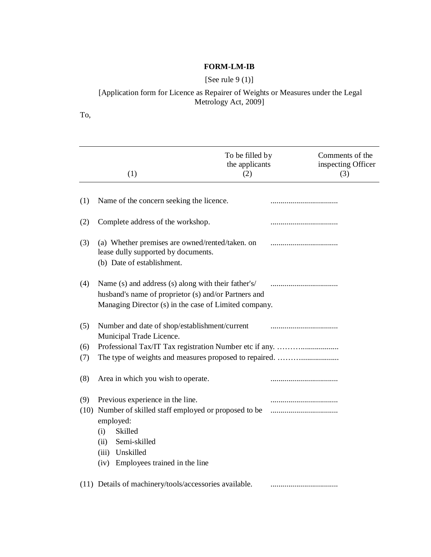# **FORM-LM-IB**

# [See rule 9 (1)]

#### [Application form for Licence as Repairer of Weights or Measures under the Legal Metrology Act, 2009]

To,

|             | (1)                                                                                                                                                                                                          | To be filled by<br>the applicants<br>(2) | Comments of the<br>inspecting Officer<br>(3) |
|-------------|--------------------------------------------------------------------------------------------------------------------------------------------------------------------------------------------------------------|------------------------------------------|----------------------------------------------|
| (1)         | Name of the concern seeking the licence.                                                                                                                                                                     |                                          |                                              |
| (2)         | Complete address of the workshop.                                                                                                                                                                            |                                          |                                              |
| (3)         | (a) Whether premises are owned/rented/taken. on<br>lease dully supported by documents.<br>(b) Date of establishment.                                                                                         |                                          |                                              |
| (4)         | Name (s) and address (s) along with their father's/<br>husband's name of proprietor (s) and/or Partners and<br>Managing Director (s) in the case of Limited company.                                         |                                          |                                              |
| (5)         | Number and date of shop/establishment/current<br>Municipal Trade Licence.                                                                                                                                    |                                          |                                              |
| (6)<br>(7)  |                                                                                                                                                                                                              |                                          |                                              |
| (8)         | Area in which you wish to operate.                                                                                                                                                                           |                                          |                                              |
| (9)<br>(10) | Previous experience in the line.<br>Number of skilled staff employed or proposed to be<br>employed:<br>Skilled<br>(i)<br>Semi-skilled<br>(ii)<br>Unskilled<br>(iii)<br>Employees trained in the line<br>(iv) |                                          | <br>                                         |
|             | (11) Details of machinery/tools/accessories available.                                                                                                                                                       |                                          |                                              |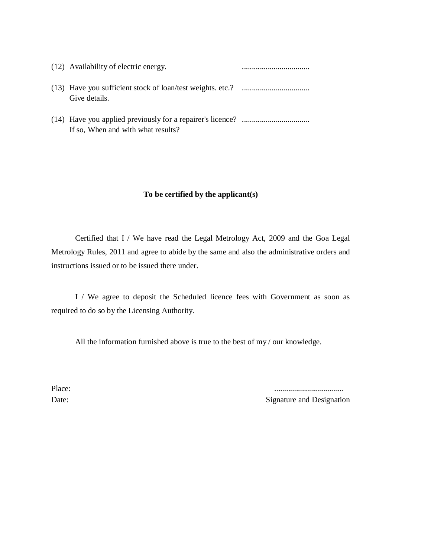| (12) Availability of electric energy. |  |
|---------------------------------------|--|
| Give details.                         |  |
| If so, When and with what results?    |  |

### **To be certified by the applicant(s)**

Certified that I / We have read the Legal Metrology Act, 2009 and the Goa Legal Metrology Rules, 2011 and agree to abide by the same and also the administrative orders and instructions issued or to be issued there under.

I / We agree to deposit the Scheduled licence fees with Government as soon as required to do so by the Licensing Authority.

All the information furnished above is true to the best of my / our knowledge.

Place: ...................................

Date: Signature and Designation